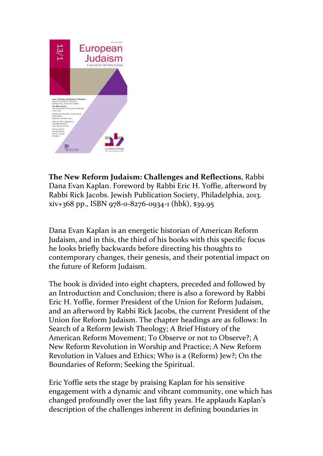

**The New Reform Judaism: Challenges and Reflections**, Rabbi Dana Evan Kaplan. Foreword by Rabbi Eric H. Yoffie, afterword by Rabbi Rick Jacobs. Jewish Publication Society, Philadelphia, 2013. xiv+368 pp., ISBN 978-0-8276-0934-1 (hbk), \$39.95

Dana Evan Kaplan is an energetic historian of American Reform Judaism, and in this, the third of his books with this specific focus he looks briefly backwards before directing his thoughts to contemporary changes, their genesis, and their potential impact on the future of Reform Judaism.

The book is divided into eight chapters, preceded and followed by an Introduction and Conclusion; there is also a foreword by Rabbi Eric H. Yoffie, former President of the Union for Reform Judaism, and an afterword by Rabbi Rick Jacobs, the current President of the Union for Reform Judaism. The chapter headings are as follows: In Search of a Reform Jewish Theology; A Brief History of the American Reform Movement; To Observe or not to Observe?; A New Reform Revolution in Worship and Practice; A New Reform Revolution in Values and Ethics; Who is a (Reform) Jew?; On the Boundaries of Reform; Seeking the Spiritual.

Eric Yoffie sets the stage by praising Kaplan for his sensitive engagement with a dynamic and vibrant community, one which has changed profoundly over the last fifty years. He applauds Kaplan's description of the challenges inherent in defining boundaries in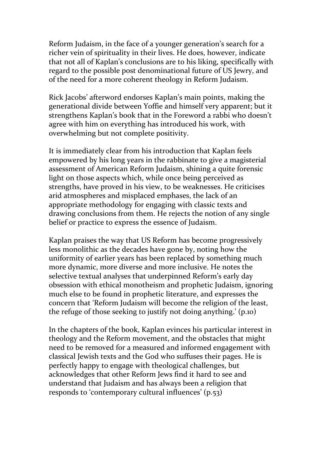Reform Judaism, in the face of a younger generation's search for a richer vein of spirituality in their lives. He does, however, indicate that not all of Kaplan's conclusions are to his liking, specifically with regard to the possible post denominational future of US Jewry, and of the need for a more coherent theology in Reform Judaism.

Rick Jacobs' afterword endorses Kaplan's main points, making the generational divide between Yoffie and himself very apparent; but it strengthens Kaplan's book that in the Foreword a rabbi who doesn't agree with him on everything has introduced his work, with overwhelming but not complete positivity.

It is immediately clear from his introduction that Kaplan feels empowered by his long years in the rabbinate to give a magisterial assessment of American Reform Judaism, shining a quite forensic light on those aspects which, while once being perceived as strengths, have proved in his view, to be weaknesses. He criticises arid atmospheres and misplaced emphases, the lack of an appropriate methodology for engaging with classic texts and drawing conclusions from them. He rejects the notion of any single belief or practice to express the essence of Judaism.

Kaplan praises the way that US Reform has become progressively less monolithic as the decades have gone by, noting how the uniformity of earlier years has been replaced by something much more dynamic, more diverse and more inclusive. He notes the selective textual analyses that underpinned Reform's early day obsession with ethical monotheism and prophetic Judaism, ignoring much else to be found in prophetic literature, and expresses the concern that 'Reform Judaism will become the religion of the least, the refuge of those seeking to justify not doing anything.' (p.10)

In the chapters of the book, Kaplan evinces his particular interest in theology and the Reform movement, and the obstacles that might need to be removed for a measured and informed engagement with classical Jewish texts and the God who suffuses their pages. He is perfectly happy to engage with theological challenges, but acknowledges that other Reform Jews find it hard to see and understand that Judaism and has always been a religion that responds to 'contemporary cultural influences' (p.53)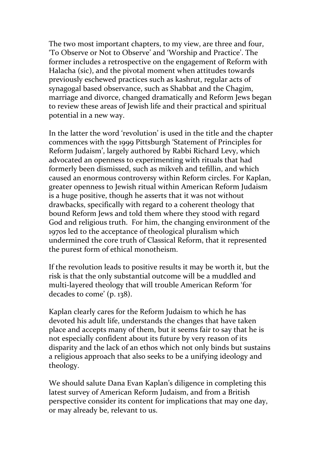The two most important chapters, to my view, are three and four, 'To Observe or Not to Observe' and 'Worship and Practice'. The former includes a retrospective on the engagement of Reform with Halacha (sic), and the pivotal moment when attitudes towards previously eschewed practices such as kashrut, regular acts of synagogal based observance, such as Shabbat and the Chagim, marriage and divorce, changed dramatically and Reform Jews began to review these areas of Jewish life and their practical and spiritual potential in a new way.

In the latter the word 'revolution' is used in the title and the chapter commences with the 1999 Pittsburgh 'Statement of Principles for Reform Judaism', largely authored by Rabbi Richard Levy, which advocated an openness to experimenting with rituals that had formerly been dismissed, such as mikveh and tefillin, and which caused an enormous controversy within Reform circles. For Kaplan, greater openness to Jewish ritual within American Reform Judaism is a huge positive, though he asserts that it was not without drawbacks, specifically with regard to a coherent theology that bound Reform Jews and told them where they stood with regard God and religious truth. For him, the changing environment of the 1970s led to the acceptance of theological pluralism which undermined the core truth of Classical Reform, that it represented the purest form of ethical monotheism.

If the revolution leads to positive results it may be worth it, but the risk is that the only substantial outcome will be a muddled and multi-layered theology that will trouble American Reform 'for decades to come' (p. 138).

Kaplan clearly cares for the Reform Judaism to which he has devoted his adult life, understands the changes that have taken place and accepts many of them, but it seems fair to say that he is not especially confident about its future by very reason of its disparity and the lack of an ethos which not only binds but sustains a religious approach that also seeks to be a unifying ideology and theology.

We should salute Dana Evan Kaplan's diligence in completing this latest survey of American Reform Judaism, and from a British perspective consider its content for implications that may one day, or may already be, relevant to us.